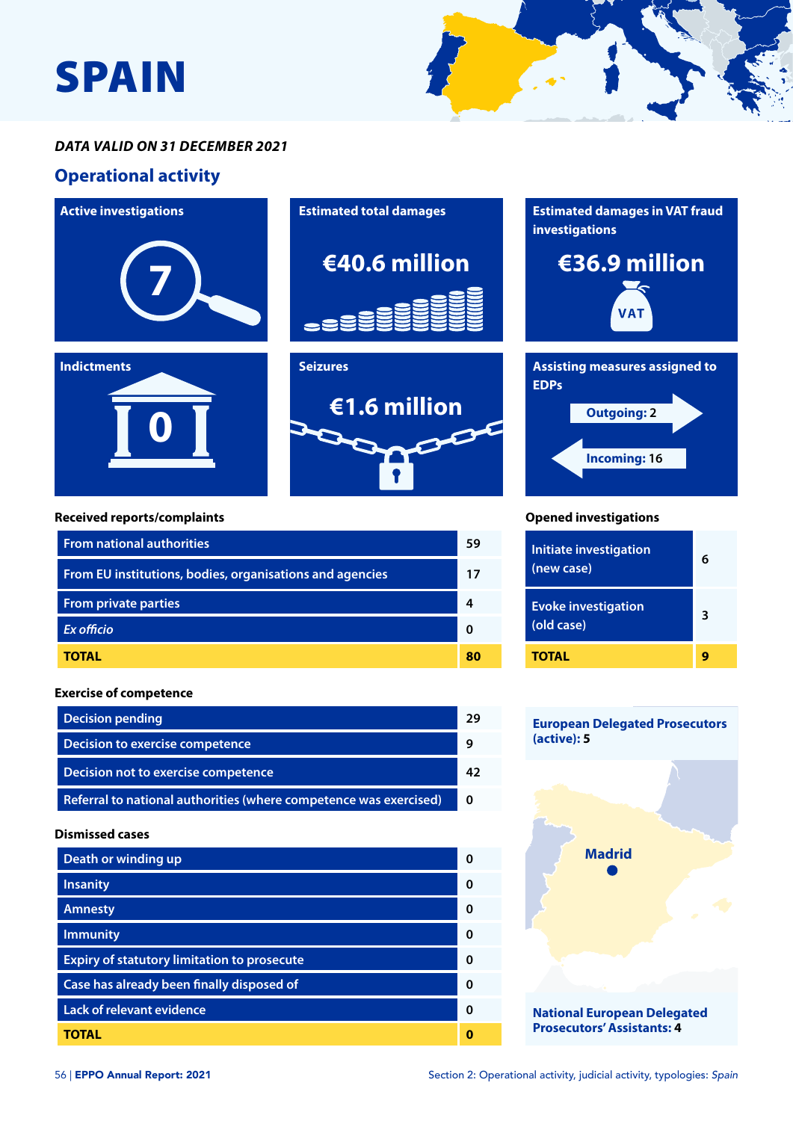# SPAIN

## *DATA VALID ON 31 DECEMBER 2021*

## **Operational activity**



#### **Dismissed cases**

| Death or winding up                                |   |
|----------------------------------------------------|---|
| <b>Insanity</b>                                    | O |
| <b>Amnesty</b>                                     | ŋ |
| <b>Immunity</b>                                    | O |
| <b>Expiry of statutory limitation to prosecute</b> | ŋ |
| Case has already been finally disposed of          | ŋ |
| Lack of relevant evidence                          | O |
| TOTAL                                              |   |

**Referral to national authorities (where competence was exercised) 0**